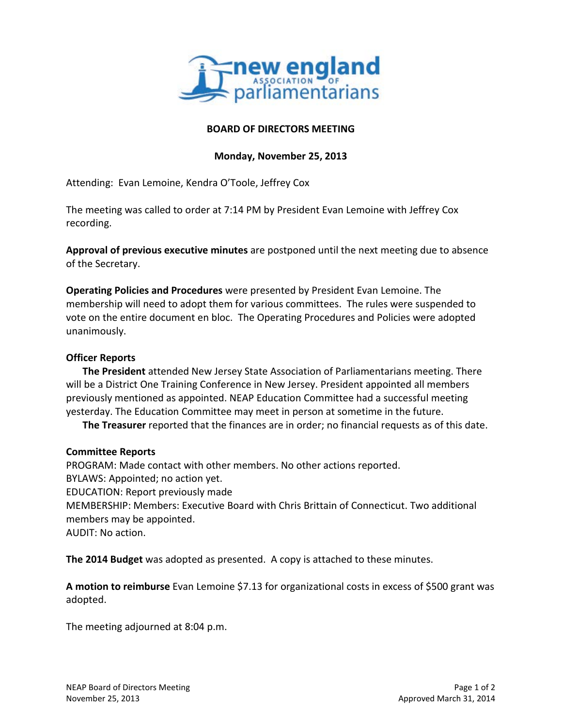

## **BOARD OF DIRECTORS MEETING**

## **Monday, November 25, 2013**

Attending: Evan Lemoine, Kendra O'Toole, Jeffrey Cox

The meeting was called to order at 7:14 PM by President Evan Lemoine with Jeffrey Cox recording.

**Approval of previous executive minutes** are postponed until the next meeting due to absence of the Secretary.

**Operating Policies and Procedures** were presented by President Evan Lemoine. The membership will need to adopt them for various committees. The rules were suspended to vote on the entire document en bloc. The Operating Procedures and Policies were adopted unanimously.

## **Officer Reports**

**The President** attended New Jersey State Association of Parliamentarians meeting. There will be a District One Training Conference in New Jersey. President appointed all members previously mentioned as appointed. NEAP Education Committee had a successful meeting yesterday. The Education Committee may meet in person at sometime in the future.

**The Treasurer** reported that the finances are in order; no financial requests as of this date.

## **Committee Reports**

PROGRAM: Made contact with other members. No other actions reported. BYLAWS: Appointed; no action yet. EDUCATION: Report previously made MEMBERSHIP: Members: Executive Board with Chris Brittain of Connecticut. Two additional members may be appointed. AUDIT: No action.

**The 2014 Budget** was adopted as presented. A copy is attached to these minutes.

**A motion to reimburse** Evan Lemoine \$7.13 for organizational costs in excess of \$500 grant was adopted.

The meeting adjourned at 8:04 p.m.